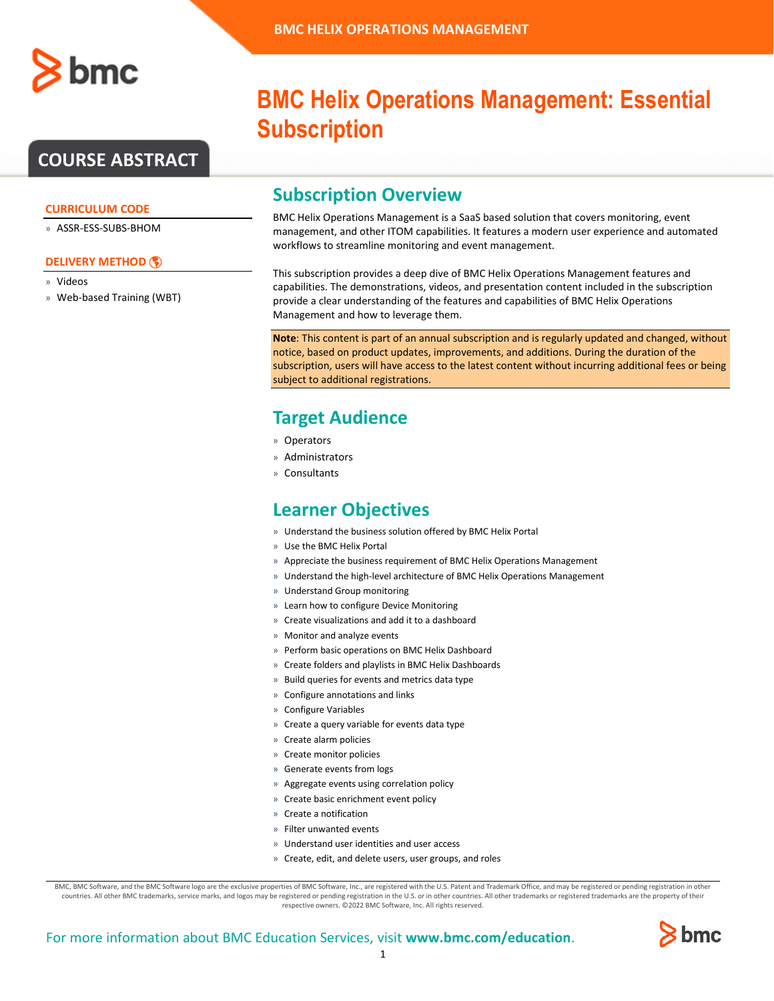

## **COURSE ABSTRACT**

#### **CURRICULUM CODE**

» ASSR-ESS-SUBS-BHOM

#### **[DELIVERY METHOD](http://www.bmc.com/education/modality.html)**

» Videos

» Web-based Training (WBT)

# **BMC Helix Operations Management: Essential Subscription**

### **Subscription Overview**

BMC Helix Operations Management is a SaaS based solution that covers monitoring, event management, and other ITOM capabilities. It features a modern user experience and automated workflows to streamline monitoring and event management.

This subscription provides a deep dive of BMC Helix Operations Management features and capabilities. The demonstrations, videos, and presentation content included in the subscription provide a clear understanding of the features and capabilities of BMC Helix Operations Management and how to leverage them.

**Note**: This content is part of an annual subscription and is regularly updated and changed, without notice, based on product updates, improvements, and additions. During the duration of the subscription, users will have access to the latest content without incurring additional fees or being subject to additional registrations.

### **Target Audience**

- » Operators
- » Administrators
- » Consultants

### **Learner Objectives**

- » Understand the business solution offered by BMC Helix Portal
- » Use the BMC Helix Portal
- » Appreciate the business requirement of BMC Helix Operations Management
- » Understand the high-level architecture of BMC Helix Operations Management
- » Understand Group monitoring
- » Learn how to configure Device Monitoring
- » Create visualizations and add it to a dashboard
- » Monitor and analyze events
- » Perform basic operations on BMC Helix Dashboard
- » Create folders and playlists in BMC Helix Dashboards
- » Build queries for events and metrics data type
- » Configure annotations and links
- » Configure Variables
- » Create a query variable for events data type
- » Create alarm policies
- » Create monitor policies
- » Generate events from logs
- » Aggregate events using correlation policy
- » Create basic enrichment event policy
- » Create a notification
- » Filter unwanted events
- » Understand user identities and user access
- » Create, edit, and delete users, user groups, and roles

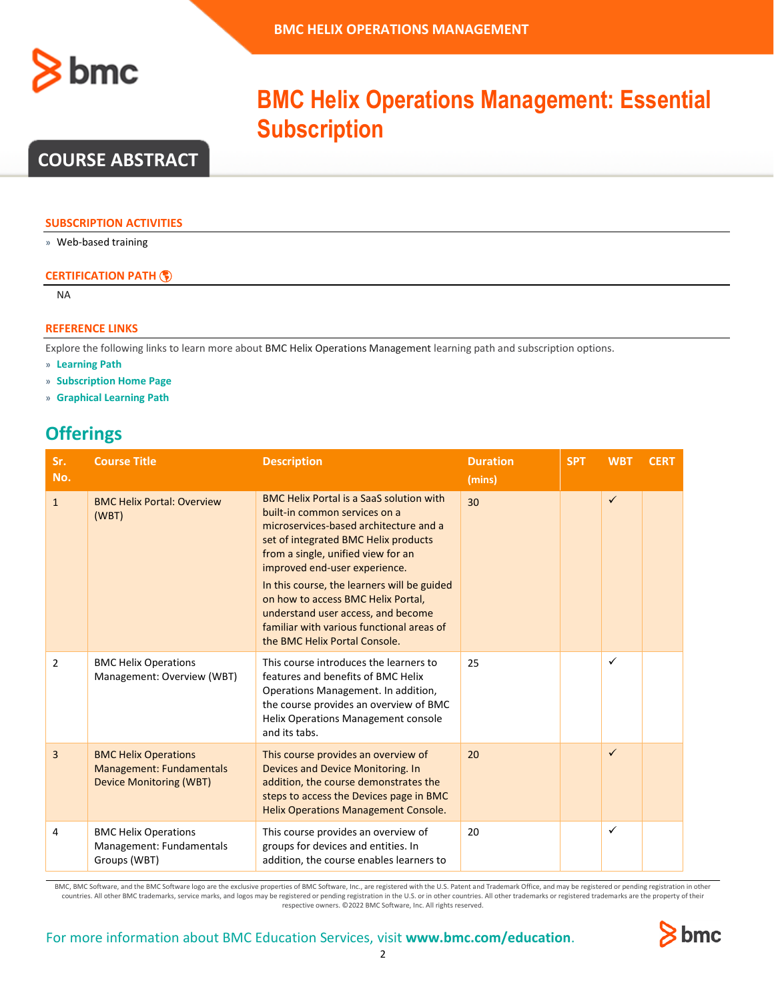

## **COURSE ABSTRACT**

#### **SUBSCRIPTION ACTIVITIES**

» Web-based training

#### **CERTIFICATION PATH**

NA

#### **REFERENCE LINKS**

Explore the following links to learn more about BMC Helix Operations Management learning path and subscription options.

- » **[Learning Path](https://www.bmc.com/education/courses/bmc-helix-monitor-training.html)**
- » **[Subscription Home Page](https://www.bmc.com/education/courses/helix-operations-management-enterprise-education-subscription.html)**
- » **[Graphical Learning Path](https://www.bmc.com/content/dam/bmc/education/Graphic_Learning_Path_BHOM.pdf)**

## **Offerings**

| Sr.<br>No.     | <b>Course Title</b>                                                                       | <b>Description</b>                                                                                                                                                                                                                                                                                                                                                                                                                                 | <b>Duration</b><br>(mins) | <b>SPT</b> | <b>WBT</b>   | <b>CERT</b> |
|----------------|-------------------------------------------------------------------------------------------|----------------------------------------------------------------------------------------------------------------------------------------------------------------------------------------------------------------------------------------------------------------------------------------------------------------------------------------------------------------------------------------------------------------------------------------------------|---------------------------|------------|--------------|-------------|
| $\mathbf{1}$   | <b>BMC Helix Portal: Overview</b><br>(WBT)                                                | <b>BMC Helix Portal is a SaaS solution with</b><br>built-in common services on a<br>microservices-based architecture and a<br>set of integrated BMC Helix products<br>from a single, unified view for an<br>improved end-user experience.<br>In this course, the learners will be guided<br>on how to access BMC Helix Portal,<br>understand user access, and become<br>familiar with various functional areas of<br>the BMC Helix Portal Console. | 30                        |            | ✓            |             |
| $\overline{2}$ | <b>BMC Helix Operations</b><br>Management: Overview (WBT)                                 | This course introduces the learners to<br>features and benefits of BMC Helix<br>Operations Management. In addition,<br>the course provides an overview of BMC<br><b>Helix Operations Management console</b><br>and its tabs.                                                                                                                                                                                                                       | 25                        |            | $\checkmark$ |             |
| 3              | <b>BMC Helix Operations</b><br>Management: Fundamentals<br><b>Device Monitoring (WBT)</b> | This course provides an overview of<br><b>Devices and Device Monitoring. In</b><br>addition, the course demonstrates the<br>steps to access the Devices page in BMC<br><b>Helix Operations Management Console.</b>                                                                                                                                                                                                                                 | 20                        |            | $\checkmark$ |             |
| 4              | <b>BMC Helix Operations</b><br>Management: Fundamentals<br>Groups (WBT)                   | This course provides an overview of<br>groups for devices and entities. In<br>addition, the course enables learners to                                                                                                                                                                                                                                                                                                                             | 20                        |            | $\checkmark$ |             |

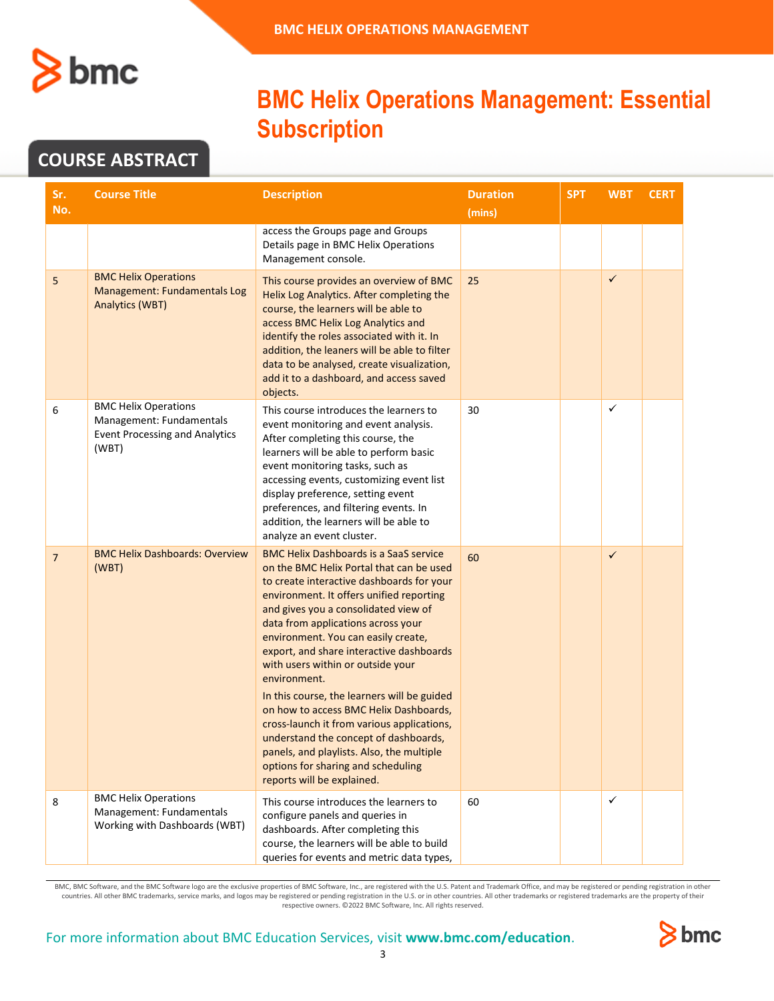

## **COURSE ABSTRACT**

| Sr.            | <b>Course Title</b>                                                                                       | <b>Description</b>                                                                                                                                                                                                                                                                                                                                                                                                                                                                                                                                                                                                                                                                                        | <b>Duration</b> | <b>SPT</b> | <b>WBT</b>   | <b>CERT</b> |
|----------------|-----------------------------------------------------------------------------------------------------------|-----------------------------------------------------------------------------------------------------------------------------------------------------------------------------------------------------------------------------------------------------------------------------------------------------------------------------------------------------------------------------------------------------------------------------------------------------------------------------------------------------------------------------------------------------------------------------------------------------------------------------------------------------------------------------------------------------------|-----------------|------------|--------------|-------------|
| No.            |                                                                                                           |                                                                                                                                                                                                                                                                                                                                                                                                                                                                                                                                                                                                                                                                                                           | (mins)          |            |              |             |
|                |                                                                                                           | access the Groups page and Groups<br>Details page in BMC Helix Operations<br>Management console.                                                                                                                                                                                                                                                                                                                                                                                                                                                                                                                                                                                                          |                 |            |              |             |
| 5              | <b>BMC Helix Operations</b><br><b>Management: Fundamentals Log</b><br><b>Analytics (WBT)</b>              | This course provides an overview of BMC<br>Helix Log Analytics. After completing the<br>course, the learners will be able to<br>access BMC Helix Log Analytics and<br>identify the roles associated with it. In<br>addition, the leaners will be able to filter<br>data to be analysed, create visualization,<br>add it to a dashboard, and access saved<br>objects.                                                                                                                                                                                                                                                                                                                                      | 25              |            | $\checkmark$ |             |
| 6              | <b>BMC Helix Operations</b><br>Management: Fundamentals<br><b>Event Processing and Analytics</b><br>(WBT) | This course introduces the learners to<br>event monitoring and event analysis.<br>After completing this course, the<br>learners will be able to perform basic<br>event monitoring tasks, such as<br>accessing events, customizing event list<br>display preference, setting event<br>preferences, and filtering events. In<br>addition, the learners will be able to<br>analyze an event cluster.                                                                                                                                                                                                                                                                                                         | 30              |            | ✓            |             |
| $\overline{7}$ | <b>BMC Helix Dashboards: Overview</b><br>(WBT)                                                            | <b>BMC Helix Dashboards is a SaaS service</b><br>on the BMC Helix Portal that can be used<br>to create interactive dashboards for your<br>environment. It offers unified reporting<br>and gives you a consolidated view of<br>data from applications across your<br>environment. You can easily create,<br>export, and share interactive dashboards<br>with users within or outside your<br>environment.<br>In this course, the learners will be guided<br>on how to access BMC Helix Dashboards,<br>cross-launch it from various applications,<br>understand the concept of dashboards,<br>panels, and playlists. Also, the multiple<br>options for sharing and scheduling<br>reports will be explained. | 60              |            | $\checkmark$ |             |
| 8              | <b>BMC Helix Operations</b><br>Management: Fundamentals<br>Working with Dashboards (WBT)                  | This course introduces the learners to<br>configure panels and queries in<br>dashboards. After completing this<br>course, the learners will be able to build<br>queries for events and metric data types,                                                                                                                                                                                                                                                                                                                                                                                                                                                                                                 | 60              |            | $\checkmark$ |             |

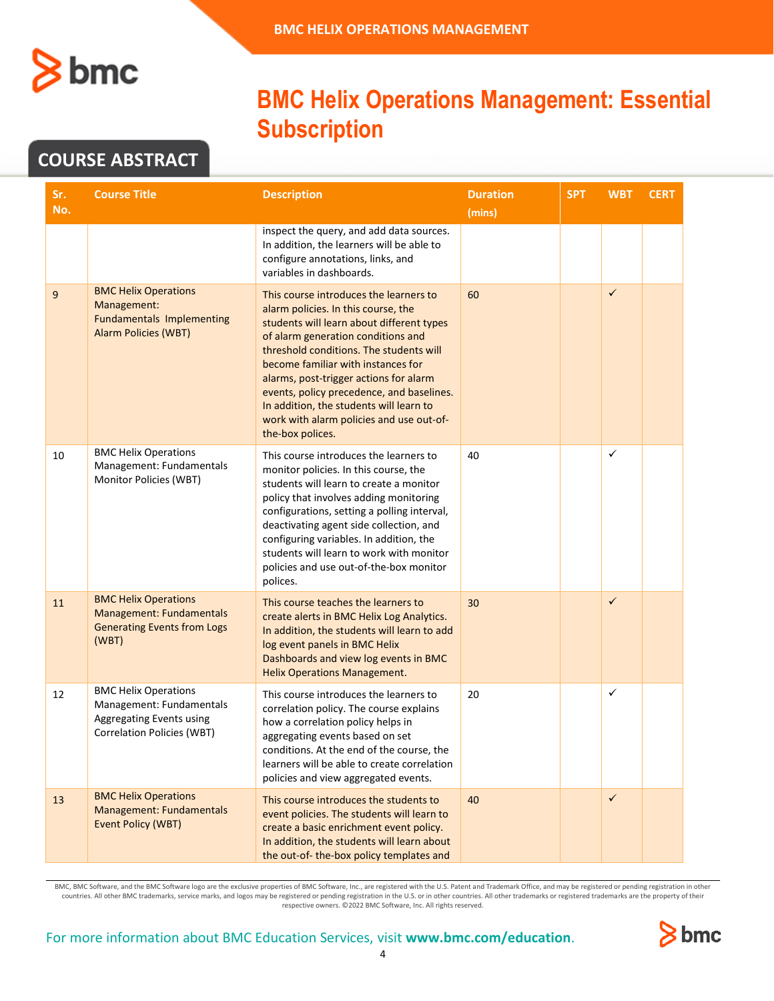

## **COURSE ABSTRACT**

| Sr.<br>No.  | <b>Course Title</b>                                                                                                      | <b>Description</b>                                                                                                                                                                                                                                                                                                                                                                                                                                  | <b>Duration</b><br>(mins) | <b>SPT</b> | <b>WBT</b>   | <b>CERT</b> |
|-------------|--------------------------------------------------------------------------------------------------------------------------|-----------------------------------------------------------------------------------------------------------------------------------------------------------------------------------------------------------------------------------------------------------------------------------------------------------------------------------------------------------------------------------------------------------------------------------------------------|---------------------------|------------|--------------|-------------|
|             |                                                                                                                          | inspect the query, and add data sources.<br>In addition, the learners will be able to<br>configure annotations, links, and<br>variables in dashboards.                                                                                                                                                                                                                                                                                              |                           |            |              |             |
| $\mathsf g$ | <b>BMC Helix Operations</b><br>Management:<br><b>Fundamentals Implementing</b><br><b>Alarm Policies (WBT)</b>            | This course introduces the learners to<br>alarm policies. In this course, the<br>students will learn about different types<br>of alarm generation conditions and<br>threshold conditions. The students will<br>become familiar with instances for<br>alarms, post-trigger actions for alarm<br>events, policy precedence, and baselines.<br>In addition, the students will learn to<br>work with alarm policies and use out-of-<br>the-box polices. | 60                        |            | $\checkmark$ |             |
| 10          | <b>BMC Helix Operations</b><br>Management: Fundamentals<br>Monitor Policies (WBT)                                        | This course introduces the learners to<br>monitor policies. In this course, the<br>students will learn to create a monitor<br>policy that involves adding monitoring<br>configurations, setting a polling interval,<br>deactivating agent side collection, and<br>configuring variables. In addition, the<br>students will learn to work with monitor<br>policies and use out-of-the-box monitor<br>polices.                                        | 40                        |            | ✓            |             |
| 11          | <b>BMC Helix Operations</b><br>Management: Fundamentals<br><b>Generating Events from Logs</b><br>(WBT)                   | This course teaches the learners to<br>create alerts in BMC Helix Log Analytics.<br>In addition, the students will learn to add<br>log event panels in BMC Helix<br>Dashboards and view log events in BMC<br><b>Helix Operations Management.</b>                                                                                                                                                                                                    | 30                        |            | $\checkmark$ |             |
| 12          | <b>BMC Helix Operations</b><br>Management: Fundamentals<br>Aggregating Events using<br><b>Correlation Policies (WBT)</b> | This course introduces the learners to<br>correlation policy. The course explains<br>how a correlation policy helps in<br>aggregating events based on set<br>conditions. At the end of the course, the<br>learners will be able to create correlation<br>policies and view aggregated events.                                                                                                                                                       | 20                        |            | ✓            |             |
| 13          | <b>BMC Helix Operations</b><br>Management: Fundamentals<br><b>Event Policy (WBT)</b>                                     | This course introduces the students to<br>event policies. The students will learn to<br>create a basic enrichment event policy.<br>In addition, the students will learn about<br>the out-of-the-box policy templates and                                                                                                                                                                                                                            | 40                        |            | $\checkmark$ |             |